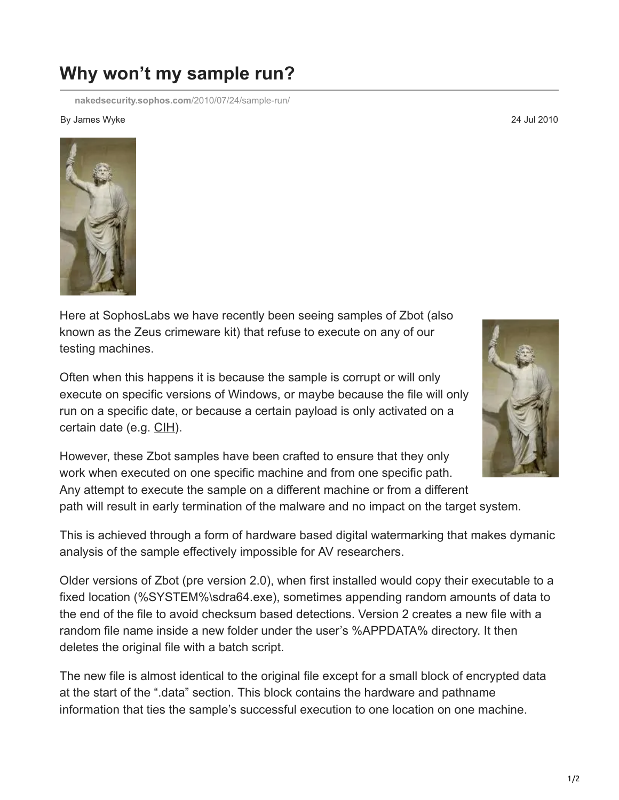## **Why won't my sample run?**

**[nakedsecurity.sophos.com](https://nakedsecurity.sophos.com/2010/07/24/sample-run/)**/2010/07/24/sample-run/

## By James Wyke 24 Jul 2010

Here at SophosLabs we have recently been seeing samples of Zbot (also known as the Zeus crimeware kit) that refuse to execute on any of our testing machines.

Often when this happens it is because the sample is corrupt or will only execute on specific versions of Windows, or maybe because the file will only run on a specific date, or because a certain payload is only activated on a certain date (e.g. [CIH](http://www.sophos.com/security/analyses/viruses-and-spyware/w95cih1106.html)).

However, these Zbot samples have been crafted to ensure that they only work when executed on one specific machine and from one specific path. Any attempt to execute the sample on a different machine or from a different path will result in early termination of the malware and no impact on the target system.

This is achieved through a form of hardware based digital watermarking that makes dymanic analysis of the sample effectively impossible for AV researchers.

Older versions of Zbot (pre version 2.0), when first installed would copy their executable to a fixed location (%SYSTEM%\sdra64.exe), sometimes appending random amounts of data to the end of the file to avoid checksum based detections. Version 2 creates a new file with a random file name inside a new folder under the user's %APPDATA% directory. It then deletes the original file with a batch script.

The new file is almost identical to the original file except for a small block of encrypted data at the start of the ".data" section. This block contains the hardware and pathname information that ties the sample's successful execution to one location on one machine.